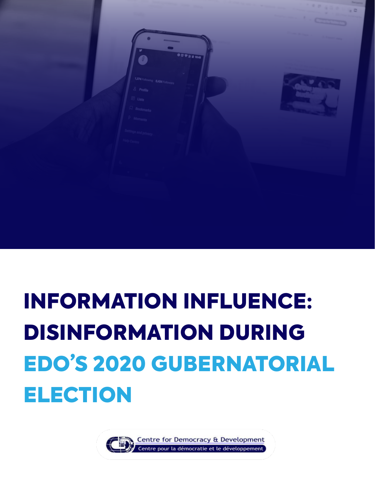

# INFORMATION INFLUENCE: DISINFORMATION DURING EDO'S 2020 GUBERNATORIAL ELECTION

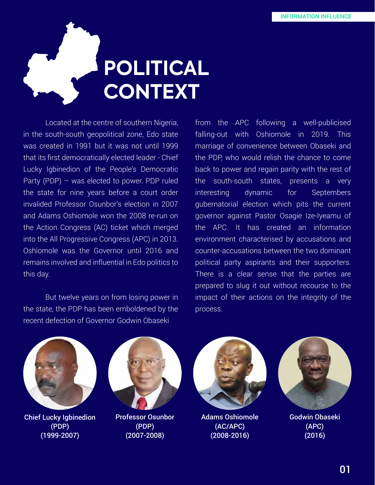# **POLITICAL CONTEXT**

 Located at the centre of southern Nigeria, in the south-south geopolitical zone, Edo state was created in 1991 but it was not until 1999 that its first democratically elected leader - Chief Lucky Igbinedion of the People's Democratic Party (PDP) – was elected to power. PDP ruled the state for nine years before a court order invalided Professor Osunbor's election in 2007 and Adams Oshiomole won the 2008 re-run on the Action Congress (AC) ticket which merged into the All Progressive Congress (APC) in 2013. Oshiomole was the Governor until 2016 and remains involved and influential in Edo politics to this day.

 But twelve years on from losing power in the state, the PDP has been emboldened by the recent defection of Governor Godwin Obaseki

from the APC following a well-publicised falling-out with Oshiomole in 2019. This marriage of convenience between Obaseki and the PDP, who would relish the chance to come back to power and regain parity with the rest of the south-south states, presents a very interesting dynamic for Septembers gubernatorial election which pits the current governor against Pastor Osagie Ize-Iyeamu of the APC. It has created an information environment characterised by accusations and counter-accusations between the two dominant political party aspirants and their supporters. There is a clear sense that the parties are prepared to slug it out without recourse to the impact of their actions on the integrity of the process.



Chief Lucky Igbinedion (PDP) (1999-2007)



Professor Osunbor (PDP) (2007-2008)



Adams Oshiomole (AC/APC) (2008-2016)



Godwin Obaseki (APC) (2016)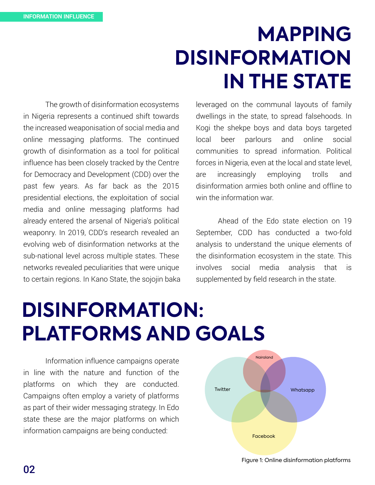## **MAPPING DISINFORMATION IN THE STATE**

 The growth of disinformation ecosystems in Nigeria represents a continued shift towards the increased weaponisation of social media and online messaging platforms. The continued growth of disinformation as a tool for political influence has been closely tracked by the Centre for Democracy and Development (CDD) over the past few years. As far back as the 2015 presidential elections, the exploitation of social media and online messaging platforms had already entered the arsenal of Nigeria's political weaponry. In 2019, CDD's research revealed an evolving web of disinformation networks at the sub-national level across multiple states. These networks revealed peculiarities that were unique to certain regions. In Kano State, the sojojin baka leveraged on the communal layouts of family dwellings in the state, to spread falsehoods. In Kogi the shekpe boys and data boys targeted local beer parlours and online social communities to spread information. Political forces in Nigeria, even at the local and state level, are increasingly employing trolls and disinformation armies both online and offline to win the information war.

 Ahead of the Edo state election on 19 September, CDD has conducted a two-fold analysis to understand the unique elements of the disinformation ecosystem in the state. This involves social media analysis that is supplemented by field research in the state.

# **DISINFORMATION: PLATFORMS AND GOALS**

 Information influence campaigns operate in line with the nature and function of the platforms on which they are conducted. Campaigns often employ a variety of platforms as part of their wider messaging strategy. In Edo state these are the major platforms on which information campaigns are being conducted:

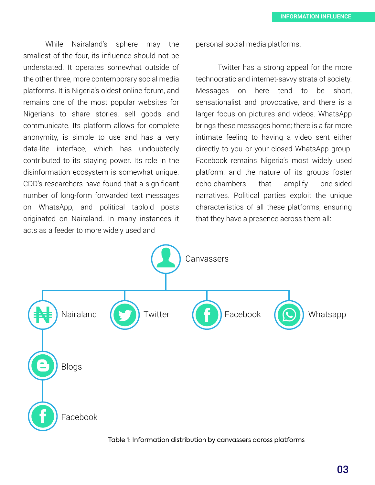While Nairaland's sphere may the smallest of the four, its influence should not be understated. It operates somewhat outside of the other three, more contemporary social media platforms. It is Nigeria's oldest online forum, and remains one of the most popular websites for Nigerians to share stories, sell goods and communicate. Its platform allows for complete anonymity, is simple to use and has a very data-lite interface, which has undoubtedly contributed to its staying power. Its role in the disinformation ecosystem is somewhat unique. CDD's researchers have found that a significant number of long-form forwarded text messages on WhatsApp, and political tabloid posts originated on Nairaland. In many instances it acts as a feeder to more widely used and

personal social media platforms.

 Twitter has a strong appeal for the more technocratic and internet-savvy strata of society. Messages on here tend to be short, sensationalist and provocative, and there is a larger focus on pictures and videos. WhatsApp brings these messages home; there is a far more intimate feeling to having a video sent either directly to you or your closed WhatsApp group. Facebook remains Nigeria's most widely used platform, and the nature of its groups foster echo-chambers that amplify one-sided narratives. Political parties exploit the unique characteristics of all these platforms, ensuring that they have a presence across them all:



Table 1: Information distribution by canvassers across platforms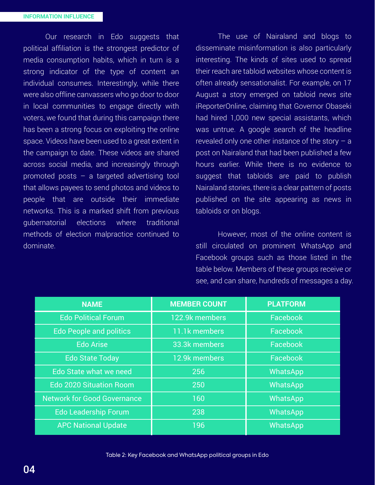Our research in Edo suggests that political affiliation is the strongest predictor of media consumption habits, which in turn is a strong indicator of the type of content an individual consumes. Interestingly, while there were also offline canvassers who go door to door in local communities to engage directly with voters, we found that during this campaign there has been a strong focus on exploiting the online space. Videos have been used to a great extent in the campaign to date. These videos are shared across social media, and increasingly through promoted posts – a targeted advertising tool that allows payees to send photos and videos to people that are outside their immediate networks. This is a marked shift from previous gubernatorial elections where traditional methods of election malpractice continued to dominate.

 The use of Nairaland and blogs to disseminate misinformation is also particularly interesting. The kinds of sites used to spread their reach are tabloid websites whose content is often already sensationalist. For example, on 17 August a story emerged on tabloid news site iReporterOnline, claiming that Governor Obaseki had hired 1,000 new special assistants, which was untrue. A google search of the headline revealed only one other instance of the story  $-$  a post on Nairaland that had been published a few hours earlier. While there is no evidence to suggest that tabloids are paid to publish Nairaland stories, there is a clear pattern of posts published on the site appearing as news in tabloids or on blogs.

 However, most of the online content is still circulated on prominent WhatsApp and Facebook groups such as those listed in the table below. Members of these groups receive or see, and can share, hundreds of messages a day.

| <b>NAME</b>                        | <b>MEMBER COUNT</b> | <b>PLATFORM</b> |  |
|------------------------------------|---------------------|-----------------|--|
| <b>Edo Political Forum</b>         | 122.9k members      | Facebook        |  |
| <b>Edo People and politics</b>     | 11.1k members       | Facebook        |  |
| <b>Edo Arise</b>                   | 33.3k members       | Facebook        |  |
| <b>Edo State Today</b>             | 12.9k members       | Facebook        |  |
| Edo State what we need             | 256                 | WhatsApp        |  |
| <b>Edo 2020 Situation Room</b>     | 250                 | WhatsApp        |  |
| <b>Network for Good Governance</b> | 160                 | <b>WhatsApp</b> |  |
| <b>Edo Leadership Forum</b>        | 238                 | WhatsApp        |  |
| <b>APC National Update</b>         | 196                 | WhatsApp        |  |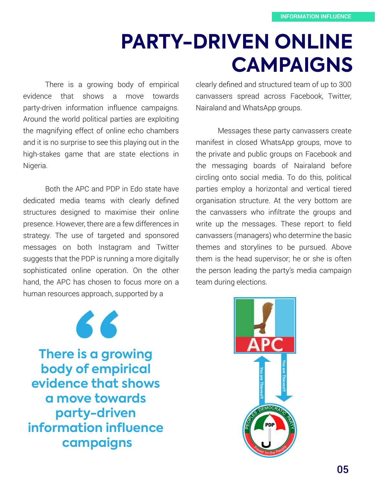### **PARTY-DRIVEN ONLINE CAMPAIGNS**

 There is a growing body of empirical evidence that shows a move towards party-driven information influence campaigns. Around the world political parties are exploiting the magnifying effect of online echo chambers and it is no surprise to see this playing out in the high-stakes game that are state elections in Nigeria.

 Both the APC and PDP in Edo state have dedicated media teams with clearly defined structures designed to maximise their online presence. However, there are a few differences in strategy. The use of targeted and sponsored messages on both Instagram and Twitter suggests that the PDP is running a more digitally sophisticated online operation. On the other hand, the APC has chosen to focus more on a human resources approach, supported by a

clearly defined and structured team of up to 300 canvassers spread across Facebook, Twitter, Nairaland and WhatsApp groups.

 Messages these party canvassers create manifest in closed WhatsApp groups, move to the private and public groups on Facebook and the messaging boards of Nairaland before circling onto social media. To do this, political parties employ a horizontal and vertical tiered organisation structure. At the very bottom are the canvassers who infiltrate the groups and write up the messages. These report to field canvassers (managers) who determine the basic themes and storylines to be pursued. Above them is the head supervisor; he or she is often the person leading the party's media campaign team during elections.

**There is a growing body of empirical evidence that shows a move towards party-driven information influence campaigns "**

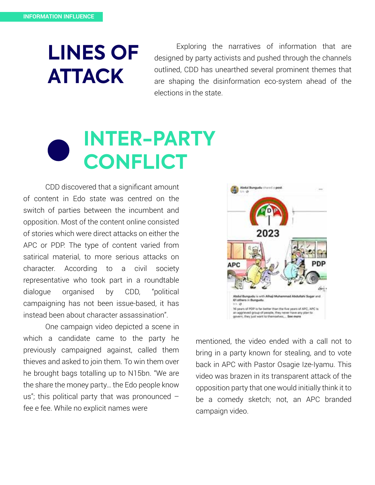## **LINES OF ATTACK**

 Exploring the narratives of information that are designed by party activists and pushed through the channels outlined, CDD has unearthed several prominent themes that are shaping the disinformation eco-system ahead of the elections in the state.

## **INTER-PARTY CONFLICT**

 CDD discovered that a significant amount of content in Edo state was centred on the switch of parties between the incumbent and opposition. Most of the content online consisted of stories which were direct attacks on either the APC or PDP. The type of content varied from satirical material, to more serious attacks on character. According to a civil society representative who took part in a roundtable dialogue organised by CDD, "political campaigning has not been issue-based, it has instead been about character assassination".

 One campaign video depicted a scene in which a candidate came to the party he previously campaigned against, called them thieves and asked to join them. To win them over he brought bags totalling up to N15bn. "We are the share the money party… the Edo people know us"; this political party that was pronounced  $$ fee e fee. While no explicit names were



mentioned, the video ended with a call not to bring in a party known for stealing, and to vote back in APC with Pastor Osagie Ize-Iyamu. This video was brazen in its transparent attack of the opposition party that one would initially think it to be a comedy sketch; not, an APC branded campaign video.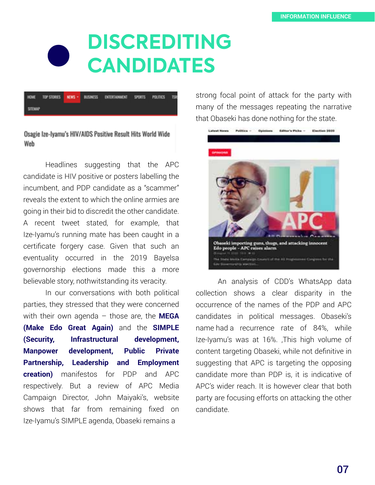### **DISCREDITING CANDIDATES**

|                |  | INOME TOPSTORIES NEWS BUSINESS ENTERTAINMENT SPORTS POLITICS TSR |  |  |
|----------------|--|------------------------------------------------------------------|--|--|
| <b>SITEMAP</b> |  |                                                                  |  |  |

#### Osagie Ize-Iyamu's HIV/AIDS Positive Result Hits World Wide Web

 Headlines suggesting that the APC candidate is HIV positive or posters labelling the incumbent, and PDP candidate as a "scammer" reveals the extent to which the online armies are going in their bid to discredit the other candidate. A recent tweet stated, for example, that Ize-Iyamu's running mate has been caught in a certificate forgery case. Given that such an eventuality occurred in the 2019 Bayelsa governorship elections made this a more believable story, nothwitstanding its veracity.

 In our conversations with both political parties, they stressed that they were concerned with their own agenda – those are, the **MEGA (Make Edo Great Again)** and the **SIMPLE (Security, Infrastructural development, Manpower development, Public Private Partnership, Leadership and Employment creation)** manifestos for PDP and APC respectively. But a review of APC Media Campaign Director, John Maiyaki's, website shows that far from remaining fixed on Ize-Iyamu's SIMPLE agenda, Obaseki remains a

strong focal point of attack for the party with many of the messages repeating the narrative that Obaseki has done nothing for the state.



 An analysis of CDD's WhatsApp data collection shows a clear disparity in the occurrence of the names of the PDP and APC candidates in political messages. Obaseki's name had a recurrence rate of 84%, while Ize-Iyamu's was at 16%. ,This high volume of content targeting Obaseki, while not definitive in suggesting that APC is targeting the opposing candidate more than PDP is, it is indicative of APC's wider reach. It is however clear that both party are focusing efforts on attacking the other candidate.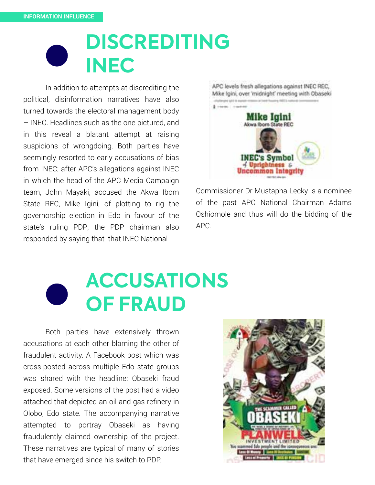### **DISCREDITING INEC**

 In addition to attempts at discrediting the political, disinformation narratives have also turned towards the electoral management body – INEC. Headlines such as the one pictured, and in this reveal a blatant attempt at raising suspicions of wrongdoing. Both parties have seemingly resorted to early accusations of bias from INEC; after APC's allegations against INEC in which the head of the APC Media Campaign team, John Mayaki, accused the Akwa Ibom State REC, Mike Igini, of plotting to rig the governorship election in Edo in favour of the state's ruling PDP; the PDP chairman also responded by saying that that INEC National



Commissioner Dr Mustapha Lecky is a nominee of the past APC National Chairman Adams Oshiomole and thus will do the bidding of the APC.

## **ACCUSATIONS OF FRAUD**

 Both parties have extensively thrown accusations at each other blaming the other of fraudulent activity. A Facebook post which was cross-posted across multiple Edo state groups was shared with the headline: Obaseki fraud exposed. Some versions of the post had a video attached that depicted an oil and gas refinery in Olobo, Edo state. The accompanying narrative attempted to portray Obaseki as having fraudulently claimed ownership of the project. These narratives are typical of many of stories that have emerged since his switch to PDP.

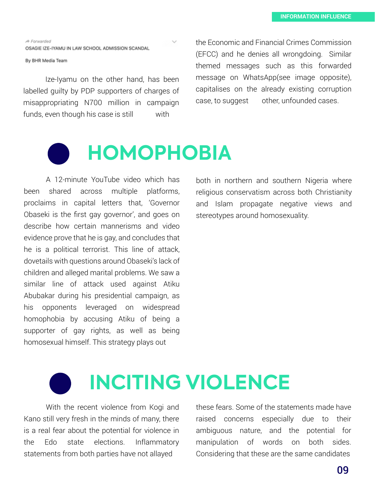**A** Forwarded OSAGIE IZE-IYAMU IN LAW SCHOOL ADMISSION SCANDAL

By BHR Media Team

 Ize-Iyamu on the other hand, has been labelled guilty by PDP supporters of charges of misappropriating N700 million in campaign funds, even though his case is still with

the Economic and Financial Crimes Commission (EFCC) and he denies all wrongdoing. Similar themed messages such as this forwarded message on WhatsApp(see image opposite), capitalises on the already existing corruption case, to suggest other, unfounded cases.

# **HOMOPHOBIA**

 A 12-minute YouTube video which has been shared across multiple platforms, proclaims in capital letters that, 'Governor Obaseki is the first gay governor', and goes on describe how certain mannerisms and video evidence prove that he is gay, and concludes that he is a political terrorist. This line of attack, dovetails with questions around Obaseki's lack of children and alleged marital problems. We saw a similar line of attack used against Atiku Abubakar during his presidential campaign, as his opponents leveraged on widespread homophobia by accusing Atiku of being a supporter of gay rights, as well as being homosexual himself. This strategy plays out

both in northern and southern Nigeria where religious conservatism across both Christianity and Islam propagate negative views and stereotypes around homosexuality.

# **INCITING VIOLENCE**

 With the recent violence from Kogi and Kano still very fresh in the minds of many, there is a real fear about the potential for violence in the Edo state elections. Inflammatory statements from both parties have not allayed

these fears. Some of the statements made have raised concerns especially due to their ambiguous nature, and the potential for manipulation of words on both sides. Considering that these are the same candidates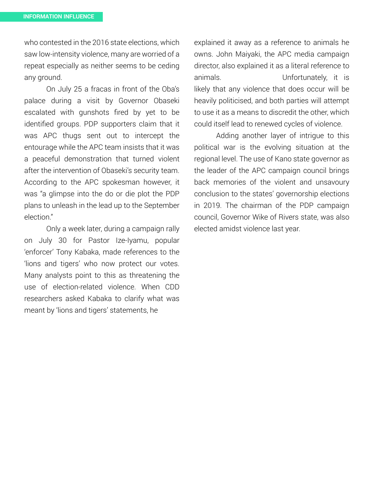who contested in the 2016 state elections, which saw low-intensity violence, many are worried of a repeat especially as neither seems to be ceding any ground.

 On July 25 a fracas in front of the Oba's palace during a visit by Governor Obaseki escalated with gunshots fired by yet to be identified groups. PDP supporters claim that it was APC thugs sent out to intercept the entourage while the APC team insists that it was a peaceful demonstration that turned violent after the intervention of Obaseki's security team. According to the APC spokesman however, it was "a glimpse into the do or die plot the PDP plans to unleash in the lead up to the September election."

 Only a week later, during a campaign rally on July 30 for Pastor Ize-Iyamu, popular 'enforcer' Tony Kabaka, made references to the 'lions and tigers' who now protect our votes. Many analysts point to this as threatening the use of election-related violence. When CDD researchers asked Kabaka to clarify what was meant by 'lions and tigers' statements, he

explained it away as a reference to animals he owns. John Maiyaki, the APC media campaign director, also explained it as a literal reference to animals. Unfortunately, it is likely that any violence that does occur will be heavily politicised, and both parties will attempt to use it as a means to discredit the other, which could itself lead to renewed cycles of violence.

 Adding another layer of intrigue to this political war is the evolving situation at the regional level. The use of Kano state governor as the leader of the APC campaign council brings back memories of the violent and unsavoury conclusion to the states' governorship elections in 2019. The chairman of the PDP campaign council, Governor Wike of Rivers state, was also elected amidst violence last year.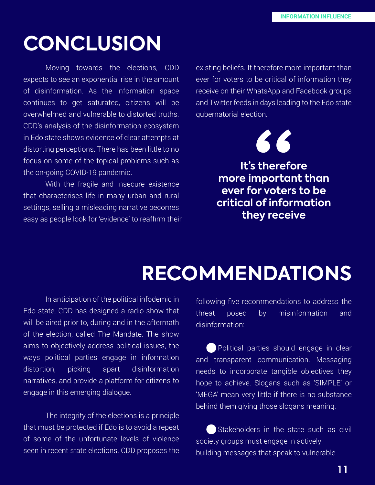#### **CONCLUSION**

 Moving towards the elections, CDD expects to see an exponential rise in the amount of disinformation. As the information space continues to get saturated, citizens will be overwhelmed and vulnerable to distorted truths. CDD's analysis of the disinformation ecosystem in Edo state shows evidence of clear attempts at distorting perceptions. There has been little to no focus on some of the topical problems such as the on-going COVID-19 pandemic.

 With the fragile and insecure existence that characterises life in many urban and rural settings, selling a misleading narrative becomes easy as people look for 'evidence' to reaffirm their existing beliefs. It therefore more important than ever for voters to be critical of information they receive on their WhatsApp and Facebook groups and Twitter feeds in days leading to the Edo state gubernatorial election.



**It's therefore more important than ever for voters to be critical of information they receive**

#### **RECOMMENDATIONS**

 In anticipation of the political infodemic in Edo state, CDD has designed a radio show that will be aired prior to, during and in the aftermath of the election, called The Mandate. The show aims to objectively address political issues, the ways political parties engage in information distortion, picking apart disinformation narratives, and provide a platform for citizens to engage in this emerging dialogue.

 The integrity of the elections is a principle that must be protected if Edo is to avoid a repeat of some of the unfortunate levels of violence seen in recent state elections. CDD proposes the

following five recommendations to address the threat posed by misinformation and disinformation:

 Political parties should engage in clear and transparent communication. Messaging needs to incorporate tangible objectives they hope to achieve. Slogans such as 'SIMPLE' or 'MEGA' mean very little if there is no substance behind them giving those slogans meaning.

Stakeholders in the state such as civil society groups must engage in actively building messages that speak to vulnerable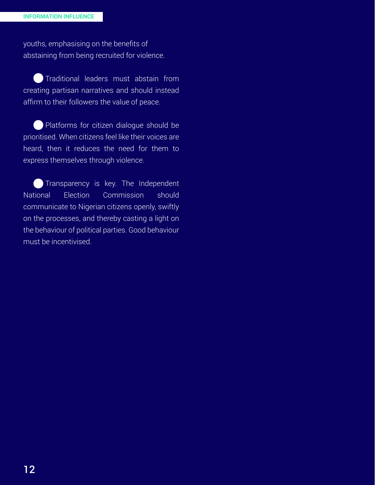youths, emphasising on the benefits of abstaining from being recruited for violence.

 Traditional leaders must abstain from creating partisan narratives and should instead affirm to their followers the value of peace.

 Platforms for citizen dialogue should be prioritised. When citizens feel like their voices are heard, then it reduces the need for them to express themselves through violence.

Transparency is key. The Independent National Election Commission should communicate to Nigerian citizens openly, swiftly on the processes, and thereby casting a light on the behaviour of political parties. Good behaviour must be incentivised.